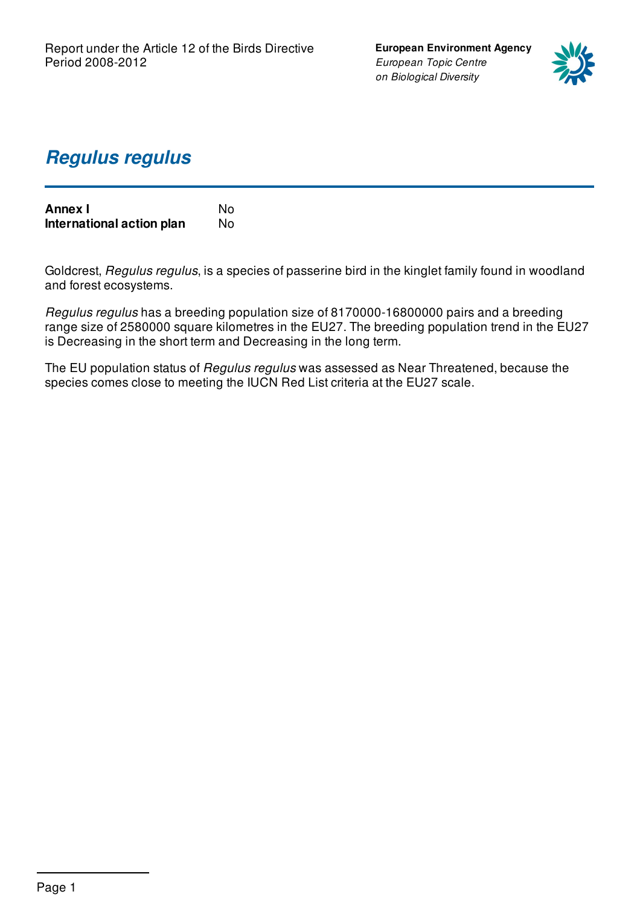**European Environment Agency** *European Topic Centre on Biological Diversity*



### *Regulus regulus*

| <b>Annex I</b>            | N٥ |
|---------------------------|----|
| International action plan | No |

Goldcrest, *Regulus regulus*, is a species of passerine bird in the kinglet family found in woodland and forest ecosystems.

*Regulus regulus* has a breeding population size of 8170000-16800000 pairs and a breeding range size of 2580000 square kilometres in the EU27. The breeding population trend in the EU27 is Decreasing in the short term and Decreasing in the long term.

The EU population status of *Regulus regulus* was assessed as Near Threatened, because the species comes close to meeting the IUCN Red List criteria at the EU27 scale.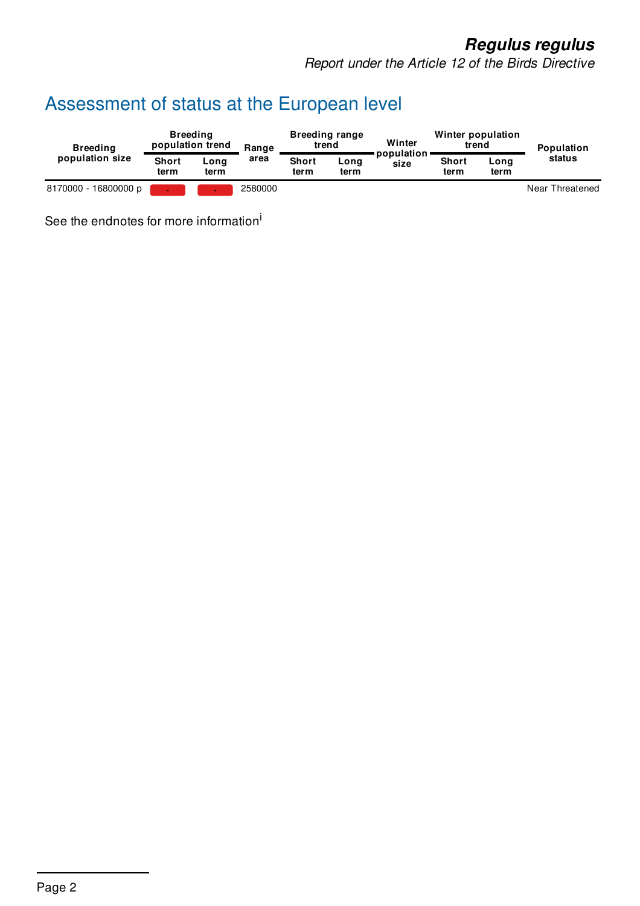## *Regulus regulus*

*Report under the Article 12 of the Birds Directive*

# Assessment of status at the European level

| <b>Breeding</b><br>population size | <b>Breeding</b><br>population trend |              | Range   | <b>Breeding range</b><br>trend |              | Winter               | Winter population<br>trend |              | Population      |
|------------------------------------|-------------------------------------|--------------|---------|--------------------------------|--------------|----------------------|----------------------------|--------------|-----------------|
|                                    | <b>Short</b><br>term                | Long<br>term | area    | <b>Short</b><br>term           | Long<br>term | population ·<br>size | <b>Short</b><br>term       | Long<br>term | status          |
| 8170000 - 16800000 p               |                                     |              | 2580000 |                                |              |                      |                            |              | Near Threatened |

See the endnotes for more information<sup>i</sup>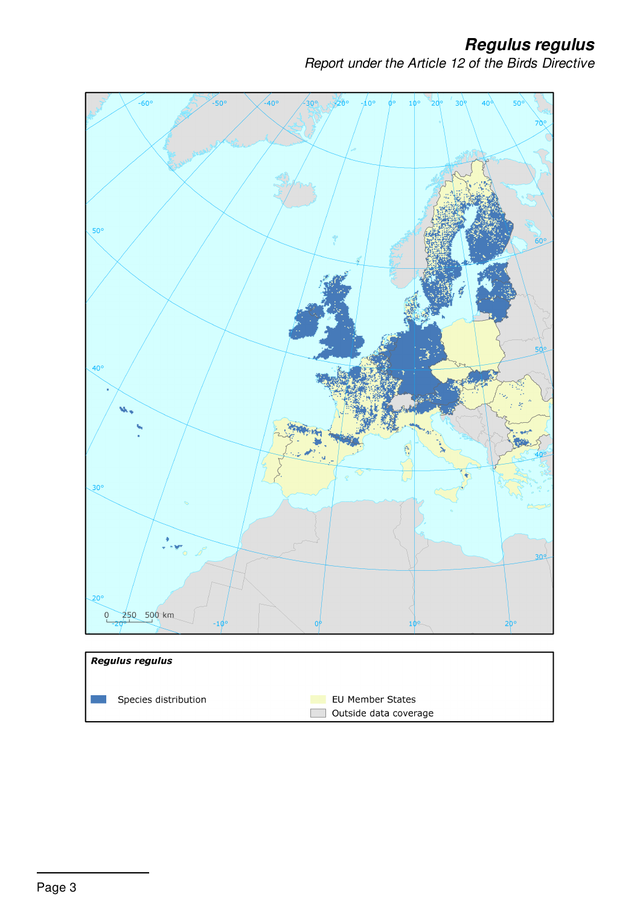*Regulus regulus*

*Report under the Article 12 of the Birds Directive*

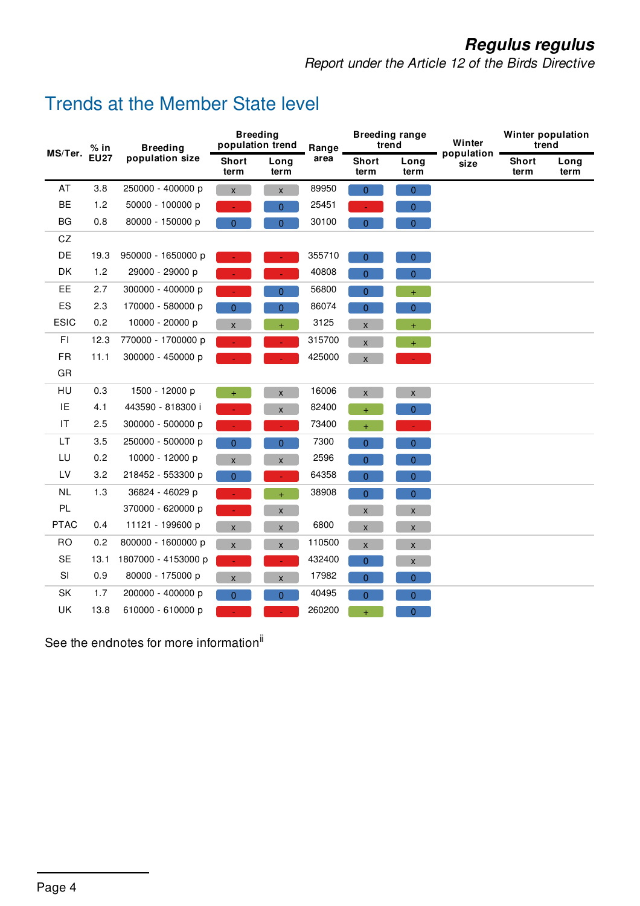## *Regulus regulus*

*Report under the Article 12 of the Birds Directive*

#### Trends at the Member State level

| MS/Ter.     | $%$ in      | <b>Breeding</b><br>population size | <b>Breeding</b><br>population trend |                    | Range  | <b>Breeding range</b><br>trend |                     | Winter             | Winter population<br>trend |              |
|-------------|-------------|------------------------------------|-------------------------------------|--------------------|--------|--------------------------------|---------------------|--------------------|----------------------------|--------------|
|             | <b>EU27</b> |                                    | <b>Short</b><br>term                | Long<br>term       | area   | <b>Short</b><br>term           | Long<br>term        | population<br>size | <b>Short</b><br>term       | Long<br>term |
| AT          | 3.8         | 250000 - 400000 p                  | X                                   | $\pmb{\mathsf{x}}$ | 89950  | $\mathbf{0}$                   | $\mathbf{0}$        |                    |                            |              |
| <b>BE</b>   | 1.2         | 50000 - 100000 p                   |                                     | 0                  | 25451  |                                | 0                   |                    |                            |              |
| <b>BG</b>   | 0.8         | 80000 - 150000 p                   | 0                                   | $\overline{0}$     | 30100  | $\overline{0}$                 | $\overline{0}$      |                    |                            |              |
| CZ          |             |                                    |                                     |                    |        |                                |                     |                    |                            |              |
| DE          | 19.3        | 950000 - 1650000 p                 |                                     |                    | 355710 | $\overline{0}$                 | $\overline{0}$      |                    |                            |              |
| DK          | 1.2         | 29000 - 29000 p                    |                                     |                    | 40808  | $\overline{0}$                 | $\overline{0}$      |                    |                            |              |
| EE          | 2.7         | 300000 - 400000 p                  |                                     | $\mathbf{0}$       | 56800  | $\overline{0}$                 | $+$                 |                    |                            |              |
| ES          | 2.3         | 170000 - 580000 p                  | 0                                   | $\mathbf{0}$       | 86074  | 0                              | $\pmb{0}$           |                    |                            |              |
| <b>ESIC</b> | 0.2         | 10000 - 20000 p                    | X                                   | $\ddot{}$          | 3125   | X                              | $\ddot{}$           |                    |                            |              |
| FI          | 12.3        | 770000 - 1700000 p                 | $\omega_{\rm{eff}}$                 | $\blacksquare$     | 315700 | X                              | $+$ $\,$ $\,$       |                    |                            |              |
| <b>FR</b>   | 11.1        | 300000 - 450000 p                  |                                     |                    | 425000 | X                              | $\omega_{\rm{eff}}$ |                    |                            |              |
| GR          |             |                                    |                                     |                    |        |                                |                     |                    |                            |              |
| HU          | 0.3         | 1500 - 12000 p                     | $+$                                 | $\pmb{\mathsf{X}}$ | 16006  | $\mathsf X$                    | $\mathsf X$         |                    |                            |              |
| IE          | 4.1         | 443590 - 818300 i                  |                                     | $\pmb{\mathsf{X}}$ | 82400  | $\ddot{}$                      | $\mathbf{0}$        |                    |                            |              |
| IT          | 2.5         | 300000 - 500000 p                  |                                     | $\omega$           | 73400  | $\ddot{}$                      | $\omega$            |                    |                            |              |
| LT          | 3.5         | 250000 - 500000 p                  | $\overline{0}$                      | $\mathbf 0$        | 7300   | $\mathbf{0}$                   | $\overline{0}$      |                    |                            |              |
| LU          | 0.2         | 10000 - 12000 p                    | X                                   | $\pmb{\times}$     | 2596   | $\overline{0}$                 | $\overline{0}$      |                    |                            |              |
| LV          | 3.2         | 218452 - 553300 p                  | 0                                   | ÷                  | 64358  | 0                              | $\overline{0}$      |                    |                            |              |
| <b>NL</b>   | 1.3         | 36824 - 46029 p                    |                                     | $+$                | 38908  | $\overline{0}$                 | $\overline{0}$      |                    |                            |              |
| PL          |             | 370000 - 620000 p                  | ÷.                                  | $\pmb{\mathsf{x}}$ |        | $\mathsf{X}$                   | $\pmb{\mathsf{X}}$  |                    |                            |              |
| <b>PTAC</b> | 0.4         | 11121 - 199600 p                   | X                                   | $\pmb{\times}$     | 6800   | $\pmb{\mathsf{x}}$             | $\pmb{\mathsf{x}}$  |                    |                            |              |
| <b>RO</b>   | 0.2         | 800000 - 1600000 p                 | X                                   | $\pmb{\times}$     | 110500 | $\pmb{\mathsf{X}}$             | $\pmb{\mathsf{X}}$  |                    |                            |              |
| <b>SE</b>   | 13.1        | 1807000 - 4153000 p                |                                     | L,                 | 432400 | $\overline{0}$                 | $\pmb{\mathsf{X}}$  |                    |                            |              |
| SI          | 0.9         | 80000 - 175000 p                   | X                                   | $\pmb{\times}$     | 17982  | $\mathbf{0}$                   | $\overline{0}$      |                    |                            |              |
| SK          | 1.7         | 200000 - 400000 p                  | 0                                   | $\overline{0}$     | 40495  | $\mathbf{0}$                   | $\mathbf{0}$        |                    |                            |              |
| <b>UK</b>   | 13.8        | 610000 - 610000 p                  |                                     |                    | 260200 | $\ddot{}$                      | $\overline{0}$      |                    |                            |              |

See the endnotes for more information<sup>ii</sup>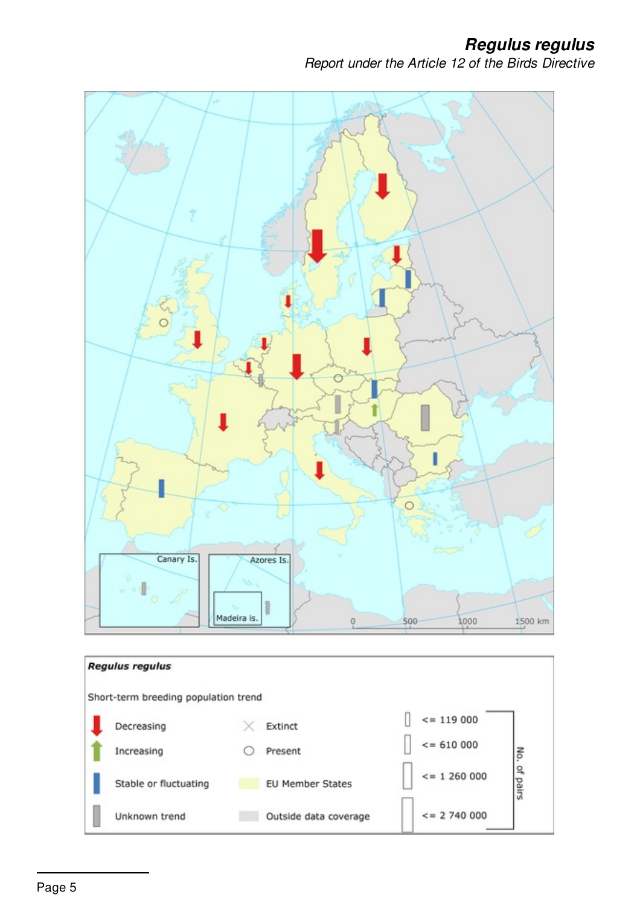*Regulus regulus*

*Report under the Article 12 of the Birds Directive*

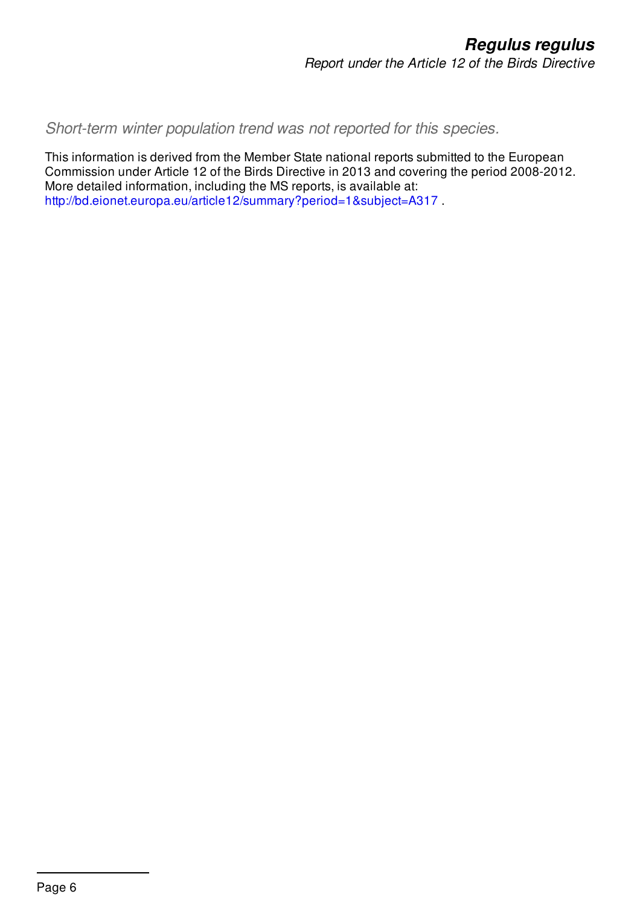*Short-term winter population trend was not reported for this species.*

This information is derived from the Member State national reports submitted to the European Commission under Article 12 of the Birds Directive in 2013 and covering the period 2008-2012. More detailed information, including the MS reports, is available at: <http://bd.eionet.europa.eu/article12/summary?period=1&subject=A317> .